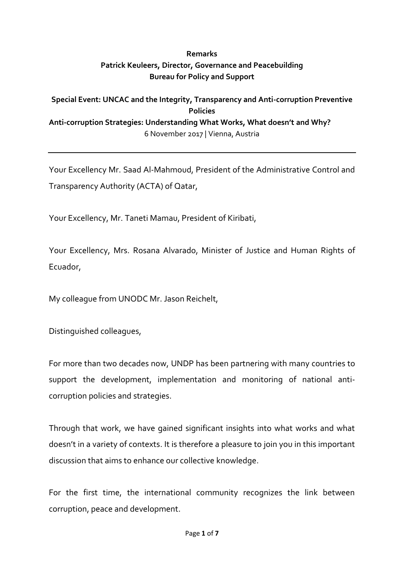## **Remarks Patrick Keuleers, Director, Governance and Peacebuilding Bureau for Policy and Support**

## **Special Event: UNCAC and the Integrity, Transparency and Anti-corruption Preventive Policies Anti-corruption Strategies: Understanding What Works, What doesn't and Why?** 6 November 2017 | Vienna, Austria

Your Excellency Mr. Saad Al-Mahmoud, President of the Administrative Control and Transparency Authority (ACTA) of Qatar,

Your Excellency, Mr. Taneti Mamau, President of Kiribati,

Your Excellency, Mrs. Rosana Alvarado, Minister of Justice and Human Rights of Ecuador,

My colleague from UNODC Mr. Jason Reichelt,

Distinguished colleagues,

For more than two decades now, UNDP has been partnering with many countries to support the development, implementation and monitoring of national anticorruption policies and strategies.

Through that work, we have gained significant insights into what works and what doesn't in a variety of contexts. It is therefore a pleasure to join you in this important discussion that aims to enhance our collective knowledge.

For the first time, the international community recognizes the link between corruption, peace and development.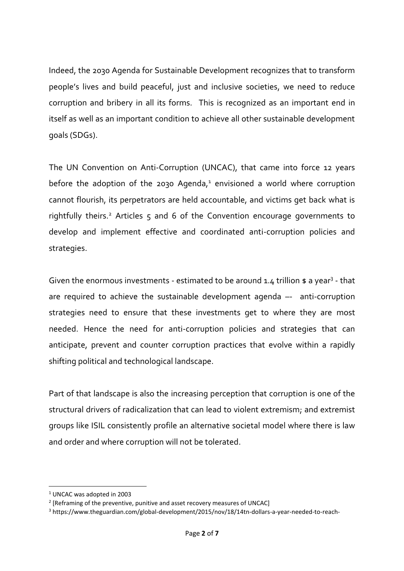Indeed, the 2030 Agenda for Sustainable Development recognizes that to transform people's lives and build peaceful, just and inclusive societies, we need to reduce corruption and bribery in all its forms. This is recognized as an important end in itself as well as an important condition to achieve all other sustainable development goals (SDGs).

The UN Convention on Anti-Corruption (UNCAC), that came into force 12 years before the adoption of the 2030 Agenda, $1$  envisioned a world where corruption cannot flourish, its perpetrators are held accountable, and victims get back what is rightfully theirs.<sup>2</sup> Articles 5 and 6 of the Convention encourage governments to develop and implement effective and coordinated anti-corruption policies and strategies.

Given the enormous investments - estimated to be around  $1.4$  trillion  $$a$  year<sup>3</sup> - that are required to achieve the sustainable development agenda –- anti-corruption strategies need to ensure that these investments get to where they are most needed. Hence the need for anti-corruption policies and strategies that can anticipate, prevent and counter corruption practices that evolve within a rapidly shifting political and technological landscape.

Part of that landscape is also the increasing perception that corruption is one of the structural drivers of radicalization that can lead to violent extremism; and extremist groups like ISIL consistently profile an alternative societal model where there is law and order and where corruption will not be tolerated.

**.** 

<sup>1</sup> UNCAC was adopted in 2003

<sup>&</sup>lt;sup>2</sup> [Reframing of the preventive, punitive and asset recovery measures of UNCAC]

<sup>3</sup> https://www.theguardian.com/global-development/2015/nov/18/14tn-dollars-a-year-needed-to-reach-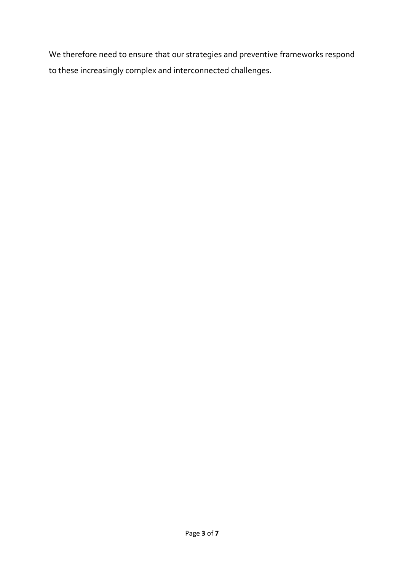We therefore need to ensure that our strategies and preventive frameworks respond to these increasingly complex and interconnected challenges.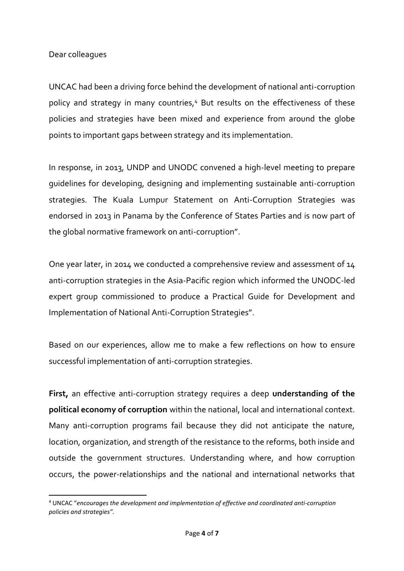## Dear colleagues

1

UNCAC had been a driving force behind the development of national anti-corruption policy and strategy in many countries,<sup>4</sup> But results on the effectiveness of these policies and strategies have been mixed and experience from around the globe points to important gaps between strategy and its implementation.

In response, in 2013, UNDP and UNODC convened a high-level meeting to prepare guidelines for developing, designing and implementing sustainable anti-corruption strategies. The Kuala Lumpur Statement on Anti-Corruption Strategies was endorsed in 2013 in Panama by the Conference of States Parties and is now part of the global normative framework on anti-corruption".

One year later, in 2014 we conducted a comprehensive review and assessment of 14 anti-corruption strategies in the Asia-Pacific region which informed the UNODC-led expert group commissioned to produce a Practical Guide for Development and Implementation of National Anti-Corruption Strategies".

Based on our experiences, allow me to make a few reflections on how to ensure successful implementation of anti-corruption strategies.

**First,** an effective anti-corruption strategy requires a deep **understanding of the political economy of corruption** within the national, local and international context. Many anti-corruption programs fail because they did not anticipate the nature, location, organization, and strength of the resistance to the reforms, both inside and outside the government structures. Understanding where, and how corruption occurs, the power-relationships and the national and international networks that

<sup>4</sup> UNCAC "*encourages the development and implementation of effective and coordinated anti-corruption policies and strategies".*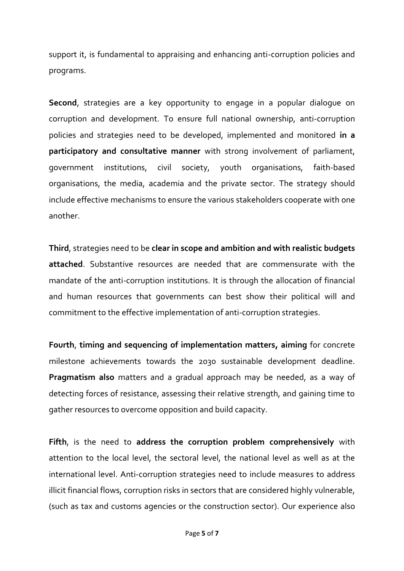support it, is fundamental to appraising and enhancing anti-corruption policies and programs.

**Second**, strategies are a key opportunity to engage in a popular dialogue on corruption and development. To ensure full national ownership, anti-corruption policies and strategies need to be developed, implemented and monitored **in a participatory and consultative manner** with strong involvement of parliament, government institutions, civil society, youth organisations, faith-based organisations, the media, academia and the private sector. The strategy should include effective mechanisms to ensure the various stakeholders cooperate with one another.

**Third**, strategies need to be **clear in scope and ambition and with realistic budgets attached**. Substantive resources are needed that are commensurate with the mandate of the anti-corruption institutions. It is through the allocation of financial and human resources that governments can best show their political will and commitment to the effective implementation of anti-corruption strategies.

**Fourth**, **timing and sequencing of implementation matters, aiming** for concrete milestone achievements towards the 2030 sustainable development deadline. **Pragmatism also** matters and a gradual approach may be needed, as a way of detecting forces of resistance, assessing their relative strength, and gaining time to gather resources to overcome opposition and build capacity.

**Fifth**, is the need to **address the corruption problem comprehensively** with attention to the local level, the sectoral level, the national level as well as at the international level. Anti-corruption strategies need to include measures to address illicit financial flows, corruption risks in sectors that are considered highly vulnerable, (such as tax and customs agencies or the construction sector). Our experience also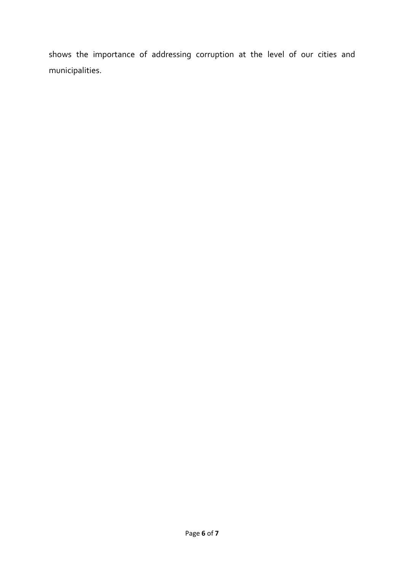shows the importance of addressing corruption at the level of our cities and municipalities.